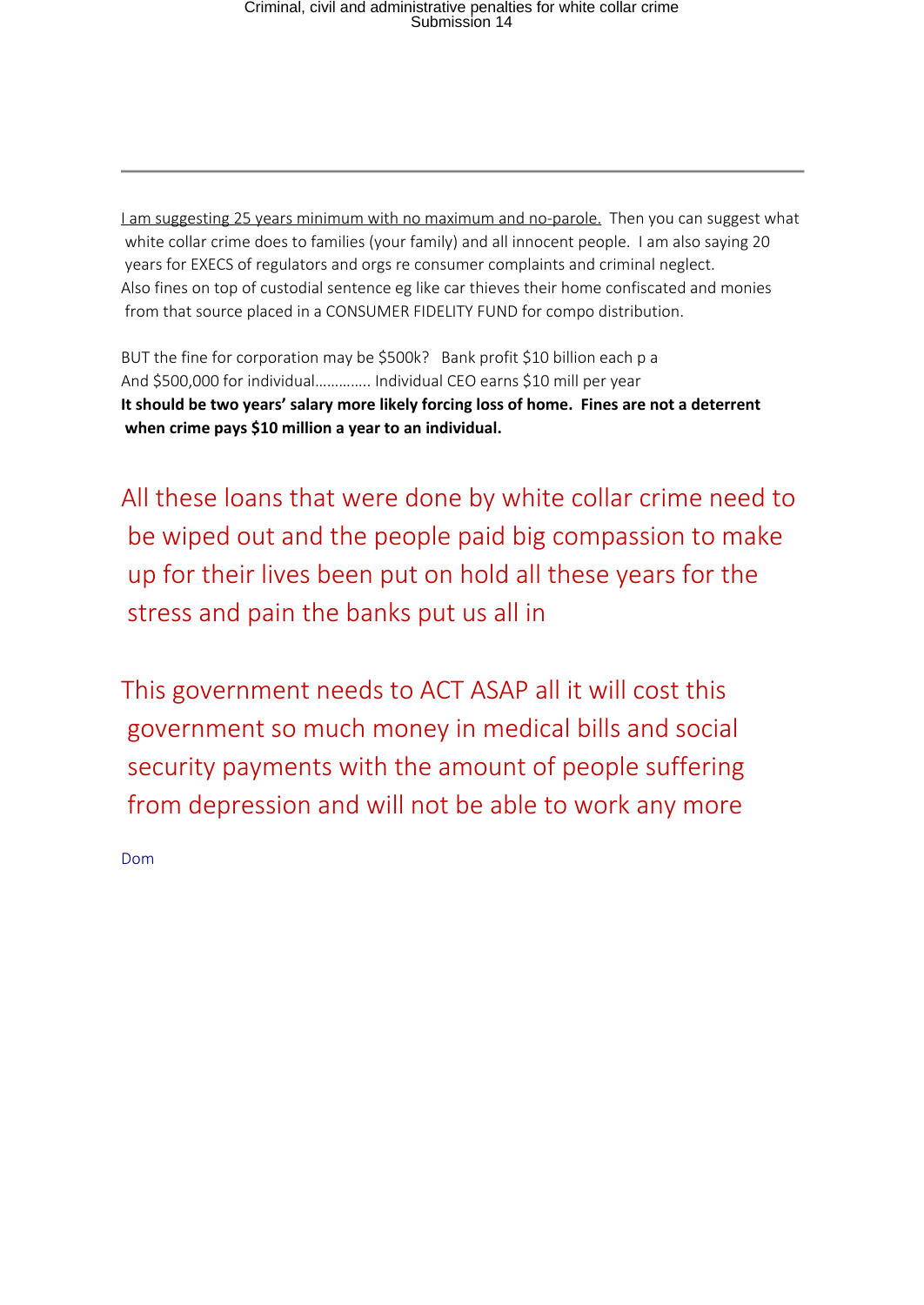I am suggesting 25 years minimum with no maximum and no-parole. Then you can suggest what white collar crime does to families (your family) and all innocent people. I am also saying 20 years for EXECS of regulators and orgs re consumer complaints and criminal neglect. Also fines on top of custodial sentence eg like car thieves their home confiscated and monies from that source placed in a CONSUMER FIDELITY FUND for compo distribution.

BUT the fine for corporation may be \$500k? Bank profit \$10 billion each p a And \$500,000 for individual………….. Individual CEO earns \$10 mill per year **It should be two years' salary more likely forcing loss of home. Fines are not a deterrent when crime pays \$10 million a year to an individual.**

All these loans that were done by white collar crime need to be wiped out and the people paid big compassion to make up for their lives been put on hold all these years for the stress and pain the banks put us all in

This government needs to ACT ASAP all it will cost this government so much money in medical bills and social security payments with the amount of people suffering from depression and will not be able to work any more

Dom